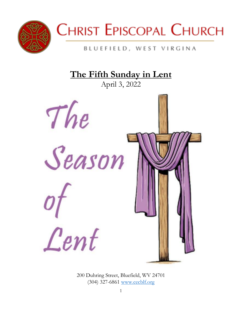

**CHRIST EPISCOPAL CHURCH** 

#### BLUEFIELD, WEST VIRGINA

# **The Fifth Sunday in Lent**

April 3, 2022



200 Duhring Street, Bluefield, WV 24701 (304) 327-6861 [www.cecblf.org](http://www.cecblf.org/)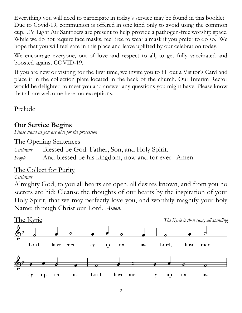Everything you will need to participate in today's service may be found in this booklet. Due to Covid-19, communion is offered in one kind only to avoid using the common cup. UV Light Air Sanitizers are present to help provide a pathogen-free worship space. While we do not require face masks, feel free to wear a mask if you prefer to do so. We hope that you will feel safe in this place and leave uplifted by our celebration today.

We encourage everyone, out of love and respect to all, to get fully vaccinated and boosted against COVID-19.

If you are new or visiting for the first time, we invite you to fill out a Visitor's Card and place it in the collection plate located in the back of the church. Our Interim Rector would be delighted to meet you and answer any questions you might have. Please know that all are welcome here, no exceptions.

# Prelude

# **Our Service Begins**

*Please stand as you are able for the procession*

The Opening Sentences

*Celebrant* Blessed be God: Father, Son, and Holy Spirit. *People* And blessed be his kingdom, now and for ever. Amen.

The Collect for Purity

#### *Celebrant*

Almighty God, to you all hearts are open, all desires known, and from you no secrets are hid: Cleanse the thoughts of our hearts by the inspiration of your Holy Spirit, that we may perfectly love you, and worthily magnify your holy Name; through Christ our Lord. *Amen.*

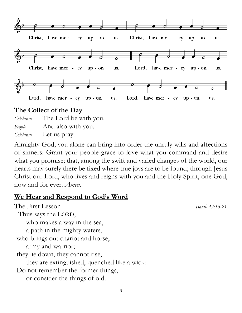

#### **The Collect of the Day**

| Celebrant | The Lord be with you. |
|-----------|-----------------------|
| People    | And also with you.    |
| Celebrant | Let us pray.          |

Almighty God, you alone can bring into order the unruly wills and affections of sinners: Grant your people grace to love what you command and desire what you promise; that, among the swift and varied changes of the world, our hearts may surely there be fixed where true joys are to be found; through Jesus Christ our Lord, who lives and reigns with you and the Holy Spirit, one God, now and for ever. *Amen.*

## **We Hear and Respond to God's Word**

The First Lesson*Isaiah 43:16-21* Thus says the LORD, who makes a way in the sea, a path in the mighty waters, who brings out chariot and horse, army and warrior; they lie down, they cannot rise, they are extinguished, quenched like a wick: Do not remember the former things, or consider the things of old.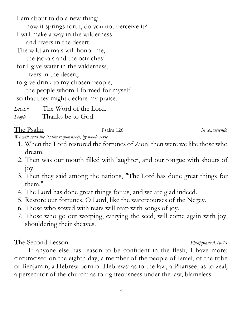I am about to do a new thing; now it springs forth, do you not perceive it? I will make a way in the wilderness and rivers in the desert. The wild animals will honor me, the jackals and the ostriches; for I give water in the wilderness, rivers in the desert, to give drink to my chosen people, the people whom I formed for myself so that they might declare my praise. *Lector* The Word of the Lord.

*People* Thanks be to God!

The PsalmPsalm 126 *In convertendo*

*We will read the Psalm responsively, by whole verse* 

- 1. When the Lord restored the fortunes of Zion, then were we like those who dream.
- 2. Then was our mouth filled with laughter, and our tongue with shouts of joy.
- 3. Then they said among the nations, "The Lord has done great things for them."
- 4. The Lord has done great things for us, and we are glad indeed.
- 5. Restore our fortunes, O Lord, like the watercourses of the Negev.
- 6. Those who sowed with tears will reap with songs of joy.
- 7. Those who go out weeping, carrying the seed, will come again with joy, shouldering their sheaves.

#### The Second Lesson *Philippians 3:4b-14*

If anyone else has reason to be confident in the flesh, I have more: circumcised on the eighth day, a member of the people of Israel, of the tribe of Benjamin, a Hebrew born of Hebrews; as to the law, a Pharisee; as to zeal, a persecutor of the church; as to righteousness under the law, blameless.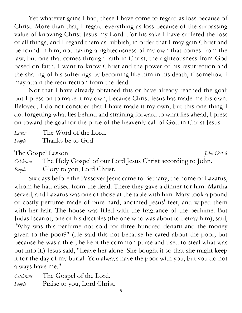Yet whatever gains I had, these I have come to regard as loss because of Christ. More than that, I regard everything as loss because of the surpassing value of knowing Christ Jesus my Lord. For his sake I have suffered the loss of all things, and I regard them as rubbish, in order that I may gain Christ and be found in him, not having a righteousness of my own that comes from the law, but one that comes through faith in Christ, the righteousness from God based on faith. I want to know Christ and the power of his resurrection and the sharing of his sufferings by becoming like him in his death, if somehow I may attain the resurrection from the dead.

Not that I have already obtained this or have already reached the goal; but I press on to make it my own, because Christ Jesus has made me his own. Beloved, I do not consider that I have made it my own; but this one thing I do: forgetting what lies behind and straining forward to what lies ahead, I press on toward the goal for the prize of the heavenly call of God in Christ Jesus.

*Lector* The Word of the Lord.

*People* Thanks be to God!

The Gospel Lesson *John 12:1-8*

*Celebrant* The Holy Gospel of our Lord Jesus Christ according to John. *People* Glory to you, Lord Christ.

Six days before the Passover Jesus came to Bethany, the home of Lazarus, whom he had raised from the dead. There they gave a dinner for him. Martha served, and Lazarus was one of those at the table with him. Mary took a pound of costly perfume made of pure nard, anointed Jesus' feet, and wiped them with her hair. The house was filled with the fragrance of the perfume. But Judas Iscariot, one of his disciples (the one who was about to betray him), said, "Why was this perfume not sold for three hundred denarii and the money given to the poor?" (He said this not because he cared about the poor, but because he was a thief; he kept the common purse and used to steal what was put into it.) Jesus said, "Leave her alone. She bought it so that she might keep it for the day of my burial. You always have the poor with you, but you do not always have me."

*Celebrant* The Gospel of the Lord. *People* Praise to you, Lord Christ.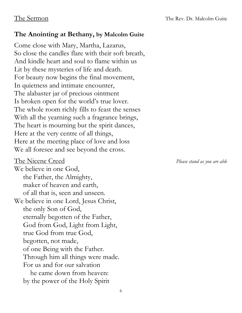#### **The Anointing at Bethany, by Malcolm Guite**

Come close with Mary, Martha, Lazarus, So close the candles flare with their soft breath, And kindle heart and soul to flame within us Lit by these mysteries of life and death. For beauty now begins the final movement, In quietness and intimate encounter, The alabaster jar of precious ointment Is broken open for the world's true lover. The whole room richly fills to feast the senses With all the yearning such a fragrance brings, The heart is mourning but the spirit dances, Here at the very centre of all things, Here at the meeting place of love and loss We all foresee and see beyond the cross.

The Nicene Creed *Please stand as you are able*  We believe in one God, the Father, the Almighty, maker of heaven and earth, of all that is, seen and unseen. We believe in one Lord, Jesus Christ, the only Son of God, eternally begotten of the Father, God from God, Light from Light, true God from true God, begotten, not made, of one Being with the Father. Through him all things were made. For us and for our salvation he came down from heaven: by the power of the Holy Spirit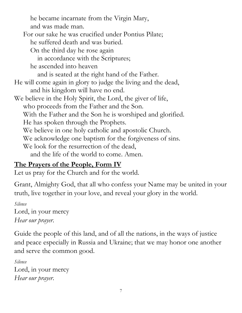he became incarnate from the Virgin Mary, and was made man. For our sake he was crucified under Pontius Pilate; he suffered death and was buried. On the third day he rose again in accordance with the Scriptures; he ascended into heaven and is seated at the right hand of the Father. He will come again in glory to judge the living and the dead, and his kingdom will have no end. We believe in the Holy Spirit, the Lord, the giver of life, who proceeds from the Father and the Son. With the Father and the Son he is worshiped and glorified. He has spoken through the Prophets. We believe in one holy catholic and apostolic Church. We acknowledge one baptism for the forgiveness of sins. We look for the resurrection of the dead, and the life of the world to come. Amen.

## **The Prayers of the People, Form IV**

Let us pray for the Church and for the world.

Grant, Almighty God, that all who confess your Name may be united in your truth, live together in your love, and reveal your glory in the world.

*Silence* Lord, in your mercy *Hear our prayer*.

Guide the people of this land, and of all the nations, in the ways of justice and peace especially in Russia and Ukraine; that we may honor one another and serve the common good.

*Silence* Lord, in your mercy *Hear our prayer*.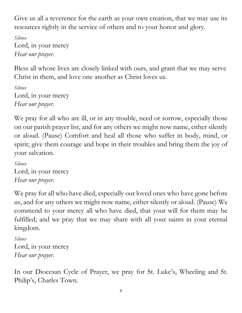Give us all a reverence for the earth as your own creation, that we may use its resources rightly in the service of others and to your honor and glory.

*Silence* Lord, in your mercy *Hear our prayer*.

Bless all whose lives are closely linked with ours, and grant that we may serve Christ in them, and love one another as Christ loves us.

*Silence* Lord, in your mercy *Hear our prayer*.

We pray for all who are ill, or in any trouble, need or sorrow, especially those on our parish prayer list, and for any others we might now name, either silently or aloud. (Pause) Comfort and heal all those who suffer in body, mind, or spirit; give them courage and hope in their troubles and bring them the joy of your salvation.

*Silence* Lord, in your mercy *Hear our prayer*.

We pray for all who have died, especially our loved ones who have gone before us, and for any others we might now name, either silently or aloud. (Pause) We commend to your mercy all who have died, that your will for them may be fulfilled; and we pray that we may share with all your saints in your eternal kingdom.

*Silence* Lord, in your mercy *Hear our prayer*.

In our Diocesan Cycle of Prayer, we pray for St. Luke's, Wheeling and St. Philip's, Charles Town.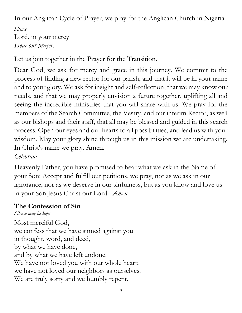In our Anglican Cycle of Prayer, we pray for the Anglican Church in Nigeria.

*Silence* Lord, in your mercy *Hear our prayer*.

Let us join together in the Prayer for the Transition.

Dear God, we ask for mercy and grace in this journey. We commit to the process of finding a new rector for our parish, and that it will be in your name and to your glory. We ask for insight and self-reflection, that we may know our needs, and that we may properly envision a future together, uplifting all and seeing the incredible ministries that you will share with us. We pray for the members of the Search Committee, the Vestry, and our interim Rector, as well as our bishops and their staff, that all may be blessed and guided in this search process. Open our eyes and our hearts to all possibilities, and lead us with your wisdom. May your glory shine through us in this mission we are undertaking. In Christ's name we pray. Amen.

*Celebrant*

Heavenly Father, you have promised to hear what we ask in the Name of your Son: Accept and fulfill our petitions, we pray, not as we ask in our ignorance, nor as we deserve in our sinfulness, but as you know and love us in your Son Jesus Christ our Lord. *Amen.*

## **The Confession of Sin**

*Silence may be kept*

Most merciful God, we confess that we have sinned against you in thought, word, and deed, by what we have done, and by what we have left undone. We have not loved you with our whole heart; we have not loved our neighbors as ourselves. We are truly sorry and we humbly repent.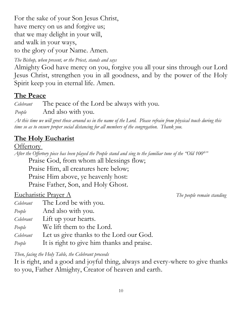For the sake of your Son Jesus Christ, have mercy on us and forgive us; that we may delight in your will, and walk in your ways, to the glory of your Name. Amen.

*The Bishop, when present, or the Priest, stands and says*

Almighty God have mercy on you, forgive you all your sins through our Lord Jesus Christ, strengthen you in all goodness, and by the power of the Holy Spirit keep you in eternal life. Amen.

#### **The Peace**

*Celebrant* The peace of the Lord be always with you. *People* And also with you.

*At this time we will greet those around us in the name of the Lord. Please refrain from physical touch during this time so as to ensure proper social distancing for all members of the congregation. Thank you.* 

# **The Holy Eucharist**

#### **Offertory**

*After the Offertory piece has been played the People stand and sing to the familiar tune of the "Old 100th "* Praise God, from whom all blessings flow; Praise Him, all creatures here below; Praise Him above, ye heavenly host: Praise Father, Son, and Holy Ghost.

Eucharistic Prayer A *The people remain standing*

*Celebrant* The Lord be with you.

- *People* And also with you.
- *Celebrant* Lift up your hearts.
- *People* We lift them to the Lord.
- *Celebrant* Let us give thanks to the Lord our God.
- *People* It is right to give him thanks and praise.

*Then, facing the Holy Table, the Celebrant proceeds*

It is right, and a good and joyful thing, always and every-where to give thanks to you, Father Almighty, Creator of heaven and earth.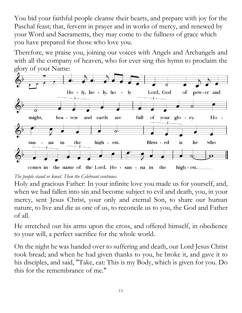You bid your faithful people cleanse their hearts, and prepare with joy for the Paschal feast; that, fervent in prayer and in works of mercy, and renewed by your Word and Sacraments, they may come to the fullness of grace which you have prepared for those who love you.

Therefore, we praise you, joining our voices with Angels and Archangels and with all the company of heaven, who for ever sing this hymn to proclaim the glory of your Name:



*The people stand or kneel. Then the Celebrant continues*

Holy and gracious Father: In your infinite love you made us for yourself, and, when we had fallen into sin and become subject to evil and death, you, in your mercy, sent Jesus Christ, your only and eternal Son, to share our human nature, to live and die as one of us, to reconcile us to you, the God and Father of all.

He stretched out his arms upon the cross, and offered himself, in obedience to your will, a perfect sacrifice for the whole world.

On the night he was handed over to suffering and death, our Lord Jesus Christ took bread; and when he had given thanks to you, he broke it, and gave it to his disciples, and said, "Take, eat: This is my Body, which is given for you. Do this for the remembrance of me."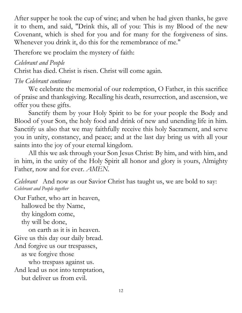After supper he took the cup of wine; and when he had given thanks, he gave it to them, and said, "Drink this, all of you: This is my Blood of the new Covenant, which is shed for you and for many for the forgiveness of sins. Whenever you drink it, do this for the remembrance of me."

Therefore we proclaim the mystery of faith:

# *Celebrant and People*

Christ has died. Christ is risen. Christ will come again.

# *The Celebrant continues*

We celebrate the memorial of our redemption, O Father, in this sacrifice of praise and thanksgiving. Recalling his death, resurrection, and ascension, we offer you these gifts.

Sanctify them by your Holy Spirit to be for your people the Body and Blood of your Son, the holy food and drink of new and unending life in him. Sanctify us also that we may faithfully receive this holy Sacrament, and serve you in unity, constancy, and peace; and at the last day bring us with all your saints into the joy of your eternal kingdom.

All this we ask through your Son Jesus Christ: By him, and with him, and in him, in the unity of the Holy Spirit all honor and glory is yours, Almighty Father, now and for ever. *AMEN.*

*Celebrant* And now as our Savior Christ has taught us, we are bold to say: *Celebrant and People together*

Our Father, who art in heaven, hallowed be thy Name, thy kingdom come, thy will be done, on earth as it is in heaven. Give us this day our daily bread. And forgive us our trespasses, as we forgive those who trespass against us. And lead us not into temptation, but deliver us from evil.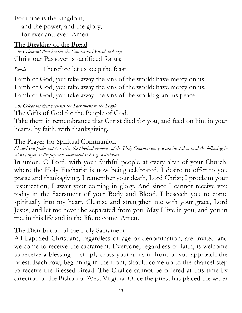For thine is the kingdom, and the power, and the glory, for ever and ever. Amen.

The Breaking of the Bread

*The Celebrant then breaks the Consecrated Bread and says* Christ our Passover is sacrificed for us;

*People* Therefore let us keep the feast.

Lamb of God, you take away the sins of the world: have mercy on us. Lamb of God, you take away the sins of the world: have mercy on us. Lamb of God, you take away the sins of the world: grant us peace.

*The Celebrant then presents the Sacrament to the People*

The Gifts of God for the People of God.

Take them in remembrance that Christ died for you, and feed on him in your hearts, by faith, with thanksgiving.

#### The Prayer for Spiritual Communion

*Should you prefer not to receive the physical elements of the Holy Communion you are invited to read the following in silent prayer as the physical sacrament is being distributed.* 

In union, O Lord, with your faithful people at every altar of your Church, where the Holy Eucharist is now being celebrated, I desire to offer to you praise and thanksgiving. I remember your death, Lord Christ; I proclaim your resurrection; I await your coming in glory. And since I cannot receive you today in the Sacrament of your Body and Blood, I beseech you to come spiritually into my heart. Cleanse and strengthen me with your grace, Lord Jesus, and let me never be separated from you. May I live in you, and you in me, in this life and in the life to come. Amen.

#### The Distribution of the Holy Sacrament

All baptized Christians, regardless of age or denomination, are invited and welcome to receive the sacrament. Everyone, regardless of faith, is welcome to receive a blessing— simply cross your arms in front of you approach the priest. Each row, beginning in the front, should come up to the chancel step to receive the Blessed Bread. The Chalice cannot be offered at this time by direction of the Bishop of West Virginia. Once the priest has placed the wafer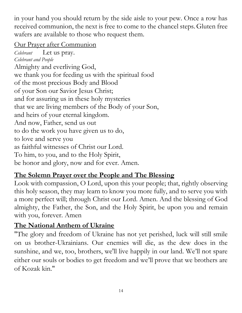in your hand you should return by the side aisle to your pew. Once a row has received communion, the next is free to come to the chancel steps.Gluten free wafers are available to those who request them.

#### Our Prayer after Communion

*Celebrant* Let us pray. *Celebrant and People* Almighty and everliving God, we thank you for feeding us with the spiritual food of the most precious Body and Blood of your Son our Savior Jesus Christ; and for assuring us in these holy mysteries that we are living members of the Body of your Son, and heirs of your eternal kingdom. And now, Father, send us out to do the work you have given us to do, to love and serve you as faithful witnesses of Christ our Lord. To him, to you, and to the Holy Spirit, be honor and glory, now and for ever. Amen.

# **The Solemn Prayer over the People and The Blessing**

Look with compassion, O Lord, upon this your people; that, rightly observing this holy season, they may learn to know you more fully, and to serve you with a more perfect will; through Christ our Lord. Amen. And the blessing of God almighty, the Father, the Son, and the Holy Spirit, be upon you and remain with you, forever. Amen

# **The National Anthem of Ukraine**

"The glory and freedom of Ukraine has not yet perished, luck will still smile on us brother-Ukrainians. Our enemies will die, as the dew does in the sunshine, and we, too, brothers, we'll live happily in our land. We'll not spare either our souls or bodies to get freedom and we'll prove that we brothers are of Kozak kin."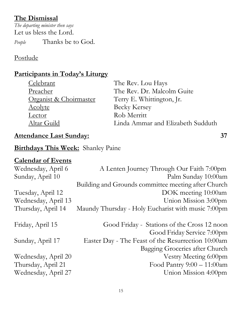#### **The Dismissal**

*The departing minister then says* Let us bless the Lord. *People* Thanks be to God.

# Postlude

# **Participants in Today's Liturgy**

| Celebrant              | The Rev. Lou Hays                 |
|------------------------|-----------------------------------|
| Preacher               | The Rev. Dr. Malcolm Guite        |
| Organist & Choirmaster | Terry E. Whittington, Jr.         |
| <b>Acolyte</b>         | <b>Becky Kersey</b>               |
| Lector                 | Rob Merritt                       |
| Altar Guild            | Linda Ammar and Elizabeth Sudduth |

## **Attendance Last Sunday: 37**

**Birthdays This Week:** Shanley Paine

### **Calendar of Events**

| Wednesday, April 6  | A Lenten Journey Through Our Faith 7:00pm           |
|---------------------|-----------------------------------------------------|
| Sunday, April 10    | Palm Sunday 10:00am                                 |
|                     | Building and Grounds committee meeting after Church |
| Tuesday, April 12   | DOK meeting 10:00am                                 |
| Wednesday, April 13 | Union Mission 3:00pm                                |
| Thursday, April 14  | Maundy Thursday - Holy Eucharist with music 7:00pm  |
| Friday, April 15    | Good Friday - Stations of the Cross 12 noon         |
|                     | Good Friday Service 7:00pm                          |
| Sunday, April 17    | Easter Day - The Feast of the Resurrection 10:00am  |
|                     | Bagging Groceries after Church                      |
| Wednesday, April 20 | Vestry Meeting 6:00pm                               |
| Thursday, April 21  | Food Pantry 9:00 - 11:00am                          |
| Wednesday, April 27 | Union Mission 4:00pm                                |